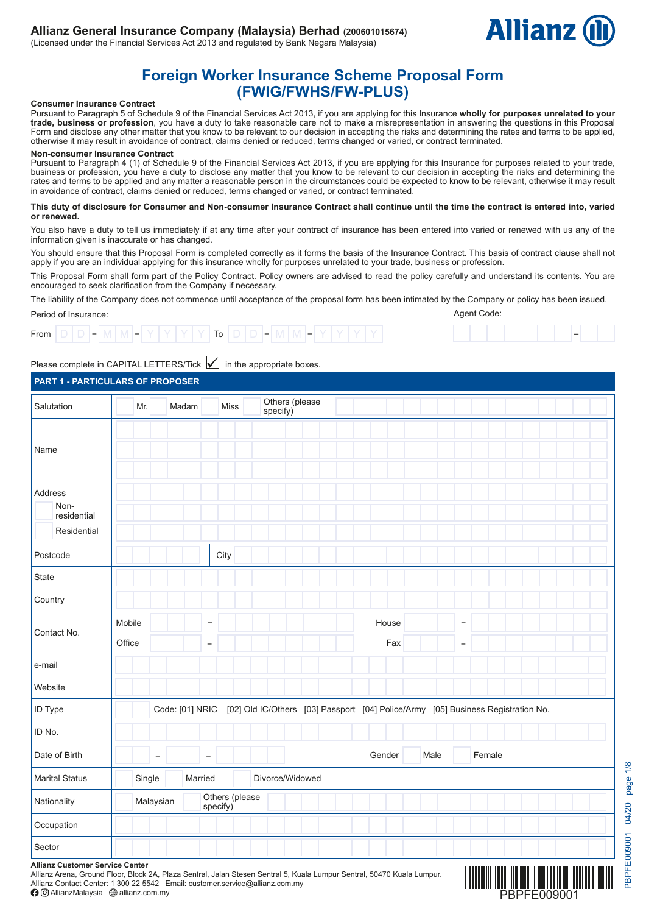

–

Agent Code:

# **Foreign Worker Insurance Scheme Proposal Form (FWIG/FWHS/FW-PLUS)**

#### **Consumer Insurance Contract**

Pursuant to Paragraph 5 of Schedule 9 of the Financial Services Act 2013, if you are applying for this Insurance **wholly for purposes unrelated to your trade, business or profession**, you have a duty to take reasonable care not to make a misrepresentation in answering the questions in this Proposal Form and disclose any other matter that you know to be relevant to our decision in accepting the risks and determining the rates and terms to be applied, otherwise it may result in avoidance of contract, claims denied or reduced, terms changed or varied, or contract terminated.

#### **Non-consumer Insurance Contract**

Pursuant to Paragraph 4 (1) of Schedule 9 of the Financial Services Act 2013, if you are applying for this Insurance for purposes related to your trade, business or profession, you have a duty to disclose any matter that you know to be relevant to our decision in accepting the risks and determining the rates and terms to be applied and any matter a reasonable person in the circumstances could be expected to know to be relevant, otherwise it may result in avoidance of contract, claims denied or reduced, terms changed or varied, or contract terminated.

#### **This duty of disclosure for Consumer and Non-consumer Insurance Contract shall continue until the time the contract is entered into, varied or renewed.**

You also have a duty to tell us immediately if at any time after your contract of insurance has been entered into varied or renewed with us any of the information given is inaccurate or has changed.

You should ensure that this Proposal Form is completed correctly as it forms the basis of the Insurance Contract. This basis of contract clause shall not apply if you are an individual applying for this insurance wholly for purposes unrelated to your trade, business or profession.

This Proposal Form shall form part of the Policy Contract. Policy owners are advised to read the policy carefully and understand its contents. You are encouraged to seek clarification from the Company if necessary.

The liability of the Company does not commence until acceptance of the proposal form has been intimated by the Company or policy has been issued.

### Period of Insurance:



## Please complete in CAPITAL LETTERS/Tick  $\blacktriangledown$  in the appropriate boxes.

### **PART 1 - PARTICULARS OF PROPOSER**

| Salutation                                                                                                               | Mr.              | Madam                    |                                               | Miss                                                                             | Others (please<br>specify) |  |        |     |      |                                               |        |  |  |  |
|--------------------------------------------------------------------------------------------------------------------------|------------------|--------------------------|-----------------------------------------------|----------------------------------------------------------------------------------|----------------------------|--|--------|-----|------|-----------------------------------------------|--------|--|--|--|
| Name                                                                                                                     |                  |                          |                                               |                                                                                  |                            |  |        |     |      |                                               |        |  |  |  |
| Address<br>Non-<br>residential<br>Residential                                                                            |                  |                          |                                               |                                                                                  |                            |  |        |     |      |                                               |        |  |  |  |
| Postcode                                                                                                                 |                  |                          | City                                          |                                                                                  |                            |  |        |     |      |                                               |        |  |  |  |
| State                                                                                                                    |                  |                          |                                               |                                                                                  |                            |  |        |     |      |                                               |        |  |  |  |
| Country                                                                                                                  |                  |                          |                                               |                                                                                  |                            |  |        |     |      |                                               |        |  |  |  |
| Contact No.                                                                                                              | Mobile<br>Office |                          | $\overline{\phantom{a}}$<br>$\qquad \qquad -$ |                                                                                  |                            |  | House  | Fax |      | $\overline{\phantom{a}}$<br>$\qquad \qquad -$ |        |  |  |  |
| e-mail                                                                                                                   |                  |                          |                                               |                                                                                  |                            |  |        |     |      |                                               |        |  |  |  |
| Website                                                                                                                  |                  |                          |                                               |                                                                                  |                            |  |        |     |      |                                               |        |  |  |  |
| <b>ID Type</b>                                                                                                           |                  | Code: [01] NRIC          |                                               | [02] Old IC/Others [03] Passport [04] Police/Army [05] Business Registration No. |                            |  |        |     |      |                                               |        |  |  |  |
| ID No.                                                                                                                   |                  |                          |                                               |                                                                                  |                            |  |        |     |      |                                               |        |  |  |  |
| Date of Birth                                                                                                            |                  | $\overline{\phantom{a}}$ | $\overline{\phantom{m}}$                      |                                                                                  |                            |  | Gender |     | Male |                                               | Female |  |  |  |
| <b>Marital Status</b>                                                                                                    | Single           |                          | Married                                       |                                                                                  | Divorce/Widowed            |  |        |     |      |                                               |        |  |  |  |
| Nationality                                                                                                              |                  | Malaysian                |                                               | Others (please<br>specify)                                                       |                            |  |        |     |      |                                               |        |  |  |  |
| Occupation                                                                                                               |                  |                          |                                               |                                                                                  |                            |  |        |     |      |                                               |        |  |  |  |
| Sector<br>$\mathbf{A}$ $\mathbf{B}$ and $\mathbf{A}$ and $\mathbf{A}$ and $\mathbf{A}$ and $\mathbf{A}$ and $\mathbf{A}$ |                  |                          |                                               |                                                                                  |                            |  |        |     |      |                                               |        |  |  |  |

PBPFE009001 04/20 page 1/8

BPFE009001 04/20

page 1/8

**Allianz Customer Service Center**

Allianz Arena, Ground Floor, Block 2A, Plaza Sentral, Jalan Stesen Sentral 5, Kuala Lumpur Sentral, 50470 Kuala Lumpur. Allianz Contact Center: 1 300 22 5542 Email: customer.service@allianz.com.my

 $\bigcirc$  O AllianzMalaysia  $\bigcirc$  allianz.com.my

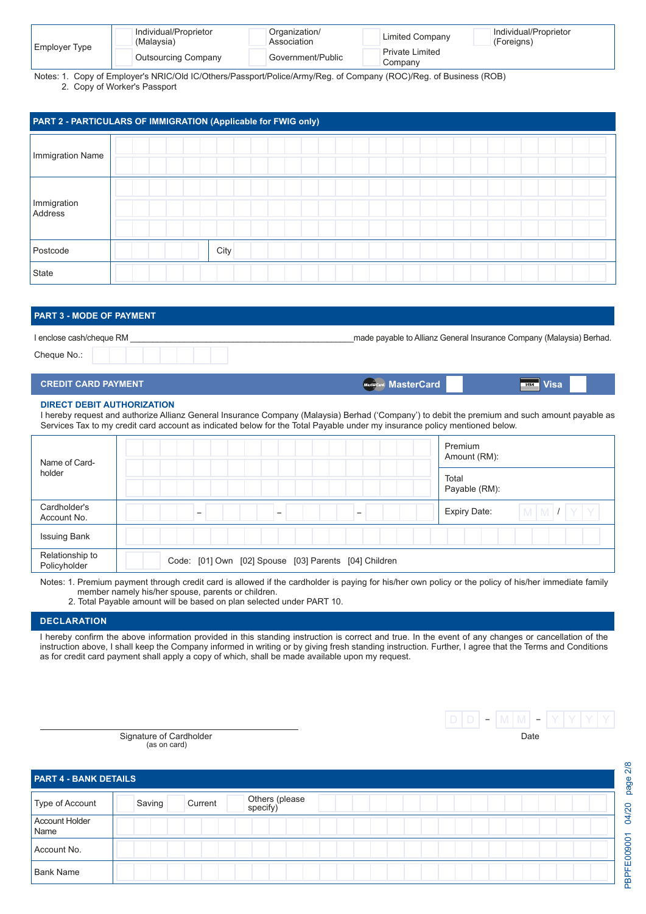|               | Individual/Proprietor<br>(Malaysia) | Organization/<br>Association | Limited Company                   | Individual/Proprietor<br>(Foreigns) |
|---------------|-------------------------------------|------------------------------|-----------------------------------|-------------------------------------|
| Employer Type | <b>Outsourcing Company</b>          | Government/Public            | <b>Private Limited</b><br>Company |                                     |

Notes: 1. Copy of Employer's NRIC/Old IC/Others/Passport/Police/Army/Reg. of Company (ROC)/Reg. of Business (ROB) 2. Copy of Worker's Passport

|                        | PART 2 - PARTICULARS OF IMMIGRATION (Applicable for FWIG only) |  |
|------------------------|----------------------------------------------------------------|--|
| Immigration Name       |                                                                |  |
| Immigration<br>Address |                                                                |  |
| Postcode               | City                                                           |  |
| State                  |                                                                |  |

| <b>PART 3 - MODE OF PAYMENT</b>        |                                                                                                                                                                                                                                             |  |
|----------------------------------------|---------------------------------------------------------------------------------------------------------------------------------------------------------------------------------------------------------------------------------------------|--|
| I enclose cash/cheque RM               | made payable to Allianz General Insurance Company (Malaysia) Berhad.                                                                                                                                                                        |  |
| Cheque No.:                            |                                                                                                                                                                                                                                             |  |
| <b>CREDIT CARD PAYMENT</b>             | MasterCard MasterCard<br><b>WSA</b> Visa                                                                                                                                                                                                    |  |
| <b>DIRECT DEBIT AUTHORIZATION</b><br>. | $\mathbf{a}$ , and the contract of the contract of the contract of the contract of the contract of the contract of the contract of the contract of the contract of the contract of the contract of the contract of the contract o<br>$\sim$ |  |

I hereby request and authorize Allianz General Insurance Company (Malaysia) Berhad ('Company') to debit the premium and such amount payable as Services Tax to my credit card account as indicated below for the Total Payable under my insurance policy mentioned below.

| Name of Card-                   |                                                       | Premium<br>Amount (RM):             |
|---------------------------------|-------------------------------------------------------|-------------------------------------|
| holder                          |                                                       | Total<br>Payable (RM):              |
| Cardholder's<br>Account No.     | -                                                     | $M$ $M$ $I$ $Y$ $Y$<br>Expiry Date: |
| <b>Issuing Bank</b>             |                                                       |                                     |
| Relationship to<br>Policyholder | Code: [01] Own [02] Spouse [03] Parents [04] Children |                                     |

Notes: 1. Premium payment through credit card is allowed if the cardholder is paying for his/her own policy or the policy of his/her immediate family member namely his/her spouse, parents or children.

2. Total Payable amount will be based on plan selected under PART 10.

## **DECLARATION**

I hereby confirm the above information provided in this standing instruction is correct and true. In the event of any changes or cancellation of the instruction above, I shall keep the Company informed in writing or by giving fresh standing instruction. Further, I agree that the Terms and Conditions as for credit card payment shall apply a copy of which, shall be made available upon my request.

> Signature of Cardholder **Date of Cardholder Date of Cardholder Date of Cardholder Date of Cardholder Date of Cardholder Date of Cardholder Date of Cardholder Date of Cardholder Date of Cardholder Date of** (as on card)

| <b>PART 4 - BANK DETAILS</b> |        |         |                            |  |  |  |  |  |  |  |
|------------------------------|--------|---------|----------------------------|--|--|--|--|--|--|--|
| Type of Account              | Saving | Current | Others (please<br>specify) |  |  |  |  |  |  |  |
| Account Holder<br>Name       |        |         |                            |  |  |  |  |  |  |  |
| Account No.                  |        |         |                            |  |  |  |  |  |  |  |
| <b>Bank Name</b>             |        |         |                            |  |  |  |  |  |  |  |

 $\boxed{\mathsf{D}\ \mathsf{D}}$  – M M – Y Y Y Y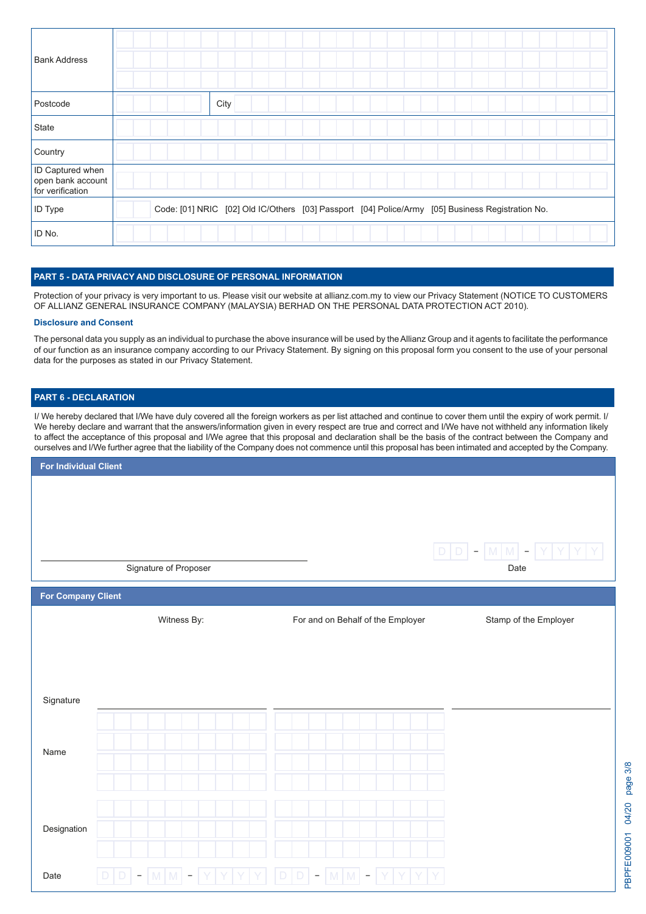| <b>Bank Address</b>                                              |                                                                                                  |
|------------------------------------------------------------------|--------------------------------------------------------------------------------------------------|
| Postcode                                                         | City                                                                                             |
| State                                                            |                                                                                                  |
| Country                                                          |                                                                                                  |
| <b>ID Captured when</b><br>open bank account<br>for verification |                                                                                                  |
| <b>ID</b> Type                                                   | Code: [01] NRIC [02] Old IC/Others [03] Passport [04] Police/Army [05] Business Registration No. |
| ID No.                                                           |                                                                                                  |

### **PART 5 - DATA PRIVACY AND DISCLOSURE OF PERSONAL INFORMATION**

Protection of your privacy is very important to us. Please visit our website at allianz.com.my to view our Privacy Statement (NOTICE TO CUSTOMERS OF ALLIANZ GENERAL INSURANCE COMPANY (MALAYSIA) BERHAD ON THE PERSONAL DATA PROTECTION ACT 2010).

#### **Disclosure and Consent**

The personal data you supply as an individual to purchase the above insurance will be used by the Allianz Group and it agents to facilitate the performance of our function as an insurance company according to our Privacy Statement. By signing on this proposal form you consent to the use of your personal data for the purposes as stated in our Privacy Statement.

### **PART 6 - DECLARATION**

I/ We hereby declared that I/We have duly covered all the foreign workers as per list attached and continue to cover them until the expiry of work permit. I/ We hereby declare and warrant that the answers/information given in every respect are true and correct and I/We have not withheld any information likely to affect the acceptance of this proposal and I/We agree that this proposal and declaration shall be the basis of the contract between the Company and ourselves and I/We further agree that the liability of the Company does not commence until this proposal has been intimated and accepted by the Company.

| <b>For Individual Client</b> |        |             |                          |                       |   |  |             |             |                                   |  |                  |  |             |  |      |                       |  |
|------------------------------|--------|-------------|--------------------------|-----------------------|---|--|-------------|-------------|-----------------------------------|--|------------------|--|-------------|--|------|-----------------------|--|
|                              |        |             |                          |                       |   |  |             |             |                                   |  |                  |  |             |  |      |                       |  |
|                              |        |             |                          |                       |   |  |             |             |                                   |  |                  |  |             |  |      |                       |  |
|                              |        |             |                          |                       |   |  |             |             |                                   |  |                  |  |             |  |      |                       |  |
|                              |        |             |                          |                       |   |  |             |             |                                   |  |                  |  | $\mathsf D$ |  |      | $D - M M - Y Y$       |  |
|                              |        |             |                          | Signature of Proposer |   |  |             |             |                                   |  |                  |  |             |  | Date |                       |  |
| <b>For Company Client</b>    |        |             |                          |                       |   |  |             |             |                                   |  |                  |  |             |  |      |                       |  |
|                              |        |             |                          | Witness By:           |   |  |             |             | For and on Behalf of the Employer |  |                  |  |             |  |      | Stamp of the Employer |  |
|                              |        |             |                          |                       |   |  |             |             |                                   |  |                  |  |             |  |      |                       |  |
|                              |        |             |                          |                       |   |  |             |             |                                   |  |                  |  |             |  |      |                       |  |
|                              |        |             |                          |                       |   |  |             |             |                                   |  |                  |  |             |  |      |                       |  |
| Signature                    |        |             |                          |                       |   |  |             |             |                                   |  |                  |  |             |  |      |                       |  |
|                              |        |             |                          |                       |   |  |             |             |                                   |  |                  |  |             |  |      |                       |  |
| Name                         |        |             |                          |                       |   |  |             |             |                                   |  |                  |  |             |  |      |                       |  |
|                              |        |             |                          |                       |   |  |             |             |                                   |  |                  |  |             |  |      |                       |  |
|                              |        |             |                          |                       |   |  |             |             |                                   |  |                  |  |             |  |      |                       |  |
|                              |        |             |                          |                       |   |  |             |             |                                   |  |                  |  |             |  |      |                       |  |
| Designation                  |        |             |                          |                       |   |  |             |             |                                   |  |                  |  |             |  |      |                       |  |
|                              |        |             |                          |                       |   |  |             |             |                                   |  |                  |  |             |  |      |                       |  |
| Date                         | $\Box$ | $\mathsf D$ | $\overline{\phantom{a}}$ | $ M M $ –             | Y |  | $\mathsf D$ | $\mathsf D$ | $\overline{\phantom{a}}$          |  | $ M M $ - $ Y Y$ |  |             |  |      |                       |  |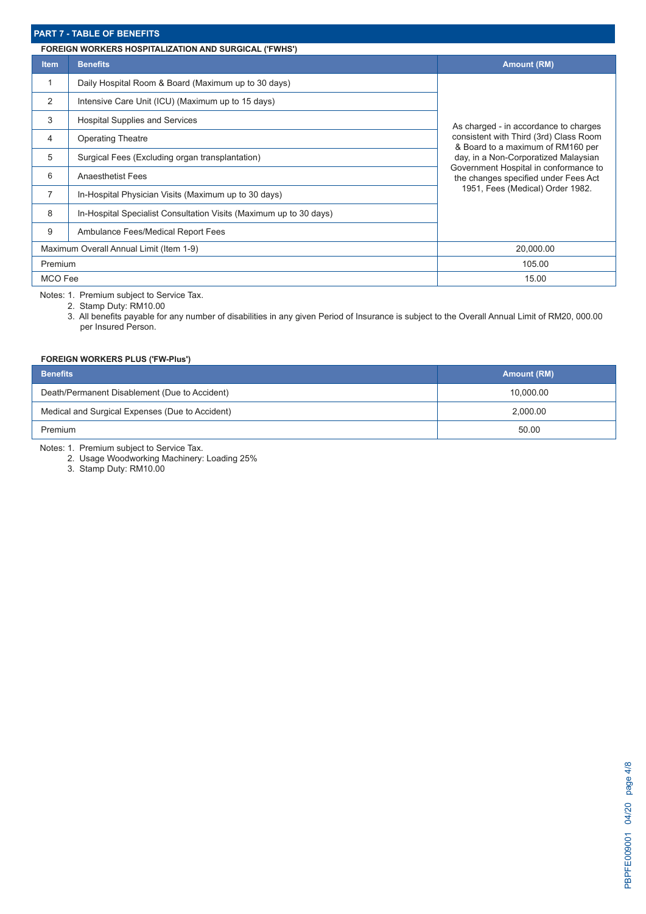## **PART 7 - TABLE OF BENEFITS**

|             | <b>FOREIGN WORKERS HOSPITALIZATION AND SURGICAL ('FWHS')</b>       |                                                                               |
|-------------|--------------------------------------------------------------------|-------------------------------------------------------------------------------|
| <b>Item</b> | <b>Benefits</b>                                                    | <b>Amount (RM)</b>                                                            |
|             | Daily Hospital Room & Board (Maximum up to 30 days)                |                                                                               |
| 2           | Intensive Care Unit (ICU) (Maximum up to 15 days)                  |                                                                               |
| 3           | <b>Hospital Supplies and Services</b>                              | As charged - in accordance to charges                                         |
| 4           | <b>Operating Theatre</b>                                           | consistent with Third (3rd) Class Room<br>& Board to a maximum of RM160 per   |
| 5           | Surgical Fees (Excluding organ transplantation)                    | day, in a Non-Corporatized Malaysian                                          |
| 6           | <b>Anaesthetist Fees</b>                                           | Government Hospital in conformance to<br>the changes specified under Fees Act |
| 7           | In-Hospital Physician Visits (Maximum up to 30 days)               | 1951, Fees (Medical) Order 1982.                                              |
| 8           | In-Hospital Specialist Consultation Visits (Maximum up to 30 days) |                                                                               |
| 9           | Ambulance Fees/Medical Report Fees                                 |                                                                               |
|             | Maximum Overall Annual Limit (Item 1-9)                            | 20,000.00                                                                     |
| Premium     |                                                                    | 105.00                                                                        |
| MCO Fee     |                                                                    | 15.00                                                                         |

Notes: 1. Premium subject to Service Tax.

2. Stamp Duty: RM10.00

3. All benefits payable for any number of disabilities in any given Period of Insurance is subject to the Overall Annual Limit of RM20, 000.00 per Insured Person.

### **FOREIGN WORKERS PLUS ('FW-Plus')**

| <b>Benefits</b>                                 | <b>Amount (RM)</b> |
|-------------------------------------------------|--------------------|
| Death/Permanent Disablement (Due to Accident)   | 10,000.00          |
| Medical and Surgical Expenses (Due to Accident) | 2,000.00           |
| Premium                                         | 50.00              |

Notes: 1. Premium subject to Service Tax.

2. Usage Woodworking Machinery: Loading 25%

3. Stamp Duty: RM10.00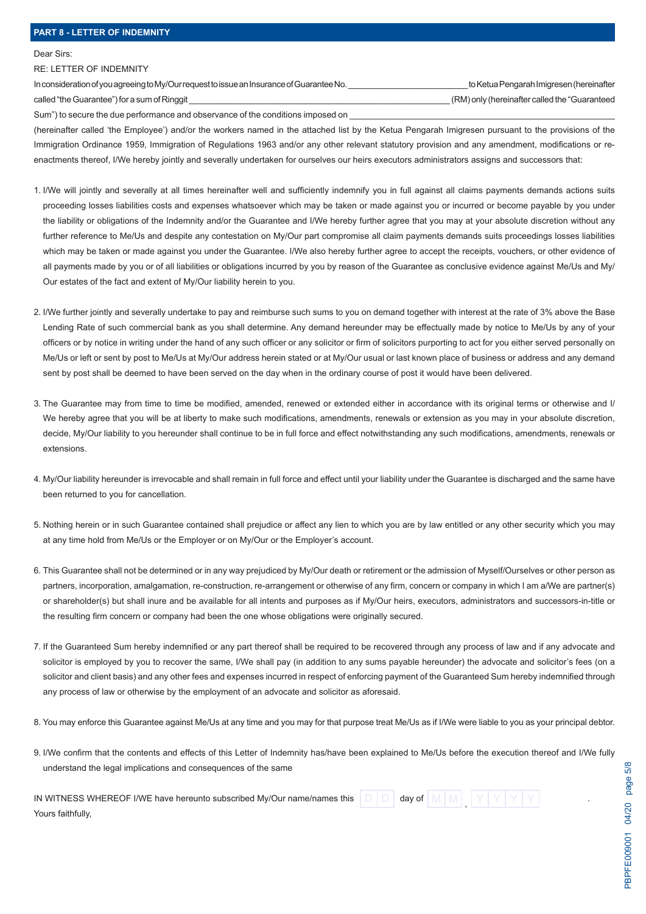#### Dear Sirs:

#### RE: LETTER OF INDEMNITY

In consideration of you agreeing to My/Our request to issue an Insurance of Guarantee No. \_\_\_\_\_\_\_\_\_\_\_\_\_\_\_\_\_\_\_\_\_\_\_\_\_\_ to Ketua Pengarah Imigresen (hereinafter called "the Guarantee") for a sum of Ringgit **and Europe and Control** called "the Guaranteed the "Guaranteed" only (hereinafter called the "Guaranteed")

Sum") to secure the due performance and observance of the conditions imposed on

(hereinafter called 'the Employee') and/or the workers named in the attached list by the Ketua Pengarah Imigresen pursuant to the provisions of the Immigration Ordinance 1959, Immigration of Regulations 1963 and/or any other relevant statutory provision and any amendment, modifications or reenactments thereof, I/We hereby jointly and severally undertaken for ourselves our heirs executors administrators assigns and successors that:

- 1. I/We will jointly and severally at all times hereinafter well and sufficiently indemnify you in full against all claims payments demands actions suits proceeding losses liabilities costs and expenses whatsoever which may be taken or made against you or incurred or become payable by you under the liability or obligations of the Indemnity and/or the Guarantee and I/We hereby further agree that you may at your absolute discretion without any further reference to Me/Us and despite any contestation on My/Our part compromise all claim payments demands suits proceedings losses liabilities which may be taken or made against you under the Guarantee. I/We also hereby further agree to accept the receipts, vouchers, or other evidence of all payments made by you or of all liabilities or obligations incurred by you by reason of the Guarantee as conclusive evidence against Me/Us and My/ Our estates of the fact and extent of My/Our liability herein to you.
- 2. I/We further jointly and severally undertake to pay and reimburse such sums to you on demand together with interest at the rate of 3% above the Base Lending Rate of such commercial bank as you shall determine. Any demand hereunder may be effectually made by notice to Me/Us by any of your officers or by notice in writing under the hand of any such officer or any solicitor or firm of solicitors purporting to act for you either served personally on Me/Us or left or sent by post to Me/Us at My/Our address herein stated or at My/Our usual or last known place of business or address and any demand sent by post shall be deemed to have been served on the day when in the ordinary course of post it would have been delivered.
- 3. The Guarantee may from time to time be modified, amended, renewed or extended either in accordance with its original terms or otherwise and I/ We hereby agree that you will be at liberty to make such modifications, amendments, renewals or extension as you may in your absolute discretion, decide, My/Our liability to you hereunder shall continue to be in full force and effect notwithstanding any such modifications, amendments, renewals or extensions.
- 4. My/Our liability hereunder is irrevocable and shall remain in full force and effect until your liability under the Guarantee is discharged and the same have been returned to you for cancellation.
- 5. Nothing herein or in such Guarantee contained shall prejudice or affect any lien to which you are by law entitled or any other security which you may at any time hold from Me/Us or the Employer or on My/Our or the Employer's account.
- 6. This Guarantee shall not be determined or in any way prejudiced by My/Our death or retirement or the admission of Myself/Ourselves or other person as partners, incorporation, amalgamation, re-construction, re-arrangement or otherwise of any firm, concern or company in which I am a/We are partner(s) or shareholder(s) but shall inure and be available for all intents and purposes as if My/Our heirs, executors, administrators and successors-in-title or the resulting firm concern or company had been the one whose obligations were originally secured.
- 7. If the Guaranteed Sum hereby indemnified or any part thereof shall be required to be recovered through any process of law and if any advocate and solicitor is employed by you to recover the same, I/We shall pay (in addition to any sums payable hereunder) the advocate and solicitor's fees (on a solicitor and client basis) and any other fees and expenses incurred in respect of enforcing payment of the Guaranteed Sum hereby indemnified through any process of law or otherwise by the employment of an advocate and solicitor as aforesaid.
- 8. You may enforce this Guarantee against Me/Us at any time and you may for that purpose treat Me/Us as if I/We were liable to you as your principal debtor.
- 9. I/We confirm that the contents and effects of this Letter of Indemnity has/have been explained to Me/Us before the execution thereof and I/We fully understand the legal implications and consequences of the same

| IN WITNESS WHEREOF I/WE have hereunto subscribed My/Our name/names this |  | day of |  |  |  |  |
|-------------------------------------------------------------------------|--|--------|--|--|--|--|
| Yours faithfully,                                                       |  |        |  |  |  |  |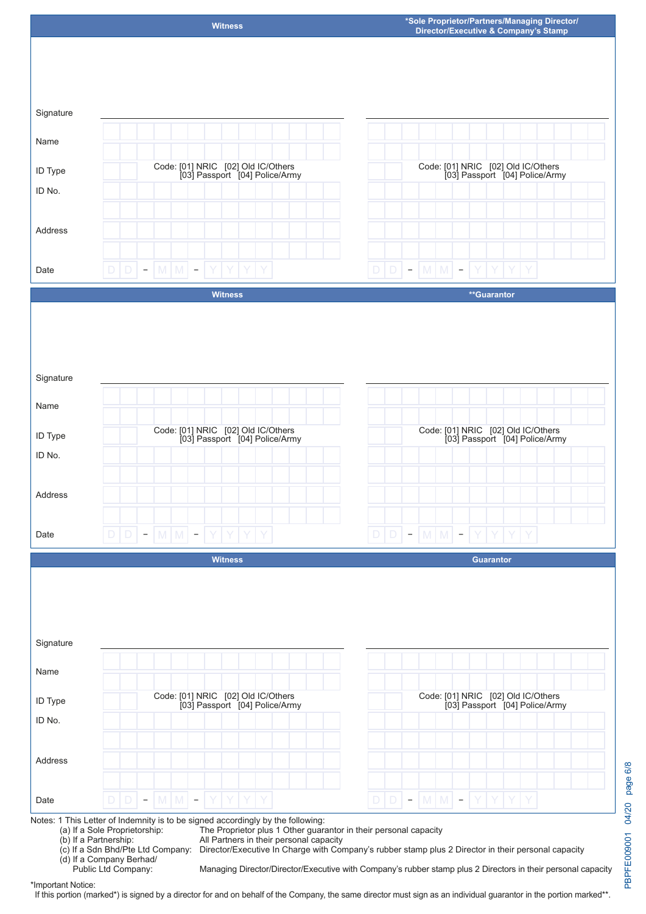

Code: [01] NRIC [02] Old IC/Others [03] Passport [04] Police/Army

Signature

Name

ID Type ID No.

Code: [01] NRIC [02] Old IC/Others [03] Passport [04] Police/Army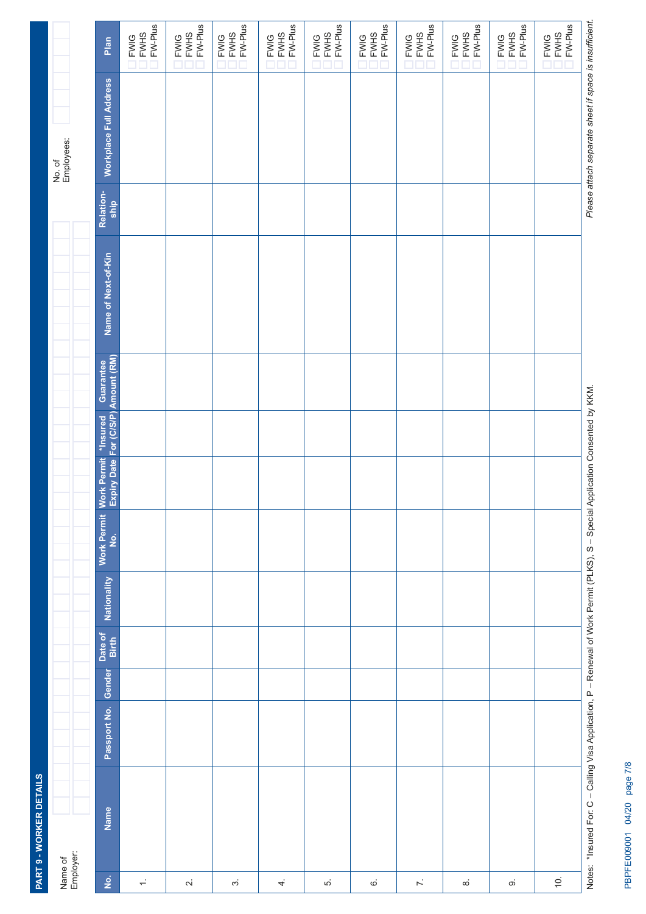|                                       | PART 9 - WORKER DETAILS                                                                                                       |              |        |                  |             |                                     |  |                                                                       |                     |                   |                                                        |                                         |  |
|---------------------------------------|-------------------------------------------------------------------------------------------------------------------------------|--------------|--------|------------------|-------------|-------------------------------------|--|-----------------------------------------------------------------------|---------------------|-------------------|--------------------------------------------------------|-----------------------------------------|--|
| Name of<br>Employer:                  |                                                                                                                               |              |        |                  |             |                                     |  |                                                                       |                     |                   | No. of<br>Employees:                                   |                                         |  |
| $\frac{\dot{\mathsf{o}}}{\mathsf{z}}$ | Name                                                                                                                          | Passport No. | Gender | Date of<br>Birth | Nationality | <b>Work Permit</b><br>$\frac{1}{2}$ |  | Work Permit *Insured Guarantee<br>Expiry Date For (C/S/P) Amount (RM) | Name of Next-of-Kin | Relation-<br>ship | Workplace Full Address                                 | Plan                                    |  |
| $\div$                                |                                                                                                                               |              |        |                  |             |                                     |  |                                                                       |                     |                   |                                                        | FW-Plus<br><b>FWHS</b><br><b>FWIG</b>   |  |
| $\sim$                                |                                                                                                                               |              |        |                  |             |                                     |  |                                                                       |                     |                   |                                                        | FW-Plus<br>FWIG<br>FWHS                 |  |
| $\sim$                                |                                                                                                                               |              |        |                  |             |                                     |  |                                                                       |                     |                   |                                                        | $FW-Plus$<br><b>FWHS</b><br><b>FWIG</b> |  |
| 4.                                    |                                                                                                                               |              |        |                  |             |                                     |  |                                                                       |                     |                   |                                                        | $FW-Plus$<br><b>FWHS</b><br><b>FWIG</b> |  |
| r.                                    |                                                                                                                               |              |        |                  |             |                                     |  |                                                                       |                     |                   |                                                        | FW-Plus<br><b>FWHS</b><br><b>FWIG</b>   |  |
| $\mathbf{\dot{\circ}}$                |                                                                                                                               |              |        |                  |             |                                     |  |                                                                       |                     |                   |                                                        | FW-Plus<br><b>FWHS</b><br><b>FWIG</b>   |  |
| $\ddot{\sim}$                         |                                                                                                                               |              |        |                  |             |                                     |  |                                                                       |                     |                   |                                                        | FW-Plus<br><b>FWHS</b><br><b>FWIG</b>   |  |
| $\infty$                              |                                                                                                                               |              |        |                  |             |                                     |  |                                                                       |                     |                   |                                                        | FW-Plus<br><b>FWHS</b><br><b>FWIG</b>   |  |
| $\infty$                              |                                                                                                                               |              |        |                  |             |                                     |  |                                                                       |                     |                   |                                                        | $FW-Plus$<br><b>FWHS</b><br><b>FWIG</b> |  |
| $\overline{Q}$ .                      |                                                                                                                               |              |        |                  |             |                                     |  |                                                                       |                     |                   |                                                        | $FW-Plus$<br><b>FWHS</b><br><b>FWIG</b> |  |
|                                       | Notes: *Insured For: C-Calling Visa Application, P - Renewal of Work Permit (PLKS), S - Special Application Consented by KKM. |              |        |                  |             |                                     |  |                                                                       |                     |                   | Please attach separate sheet if space is insufficient. |                                         |  |

PBPFE009001 04/20 page 7/8 PBPFE009001 04/20 page 7/8